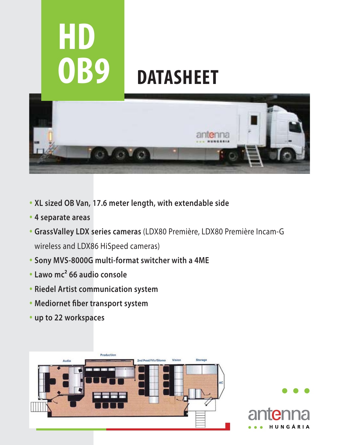

- **XL sized OB Van, 17.6 meter length, with extendable side**
- **4 separate areas**
- **GrassValley LDX series cameras** (LDX80 Première, LDX80 Première Incam-G wireless and LDX86 HiSpeed cameras)
- **Sony MVS-8000G multi-format switcher with a 4ME**
- **Lawo mc² 66 audio console**
- **Riedel Artist communication system**
- **Mediornet fiber transport system**
- **up to 22 workspaces**



H U N G Á R I A